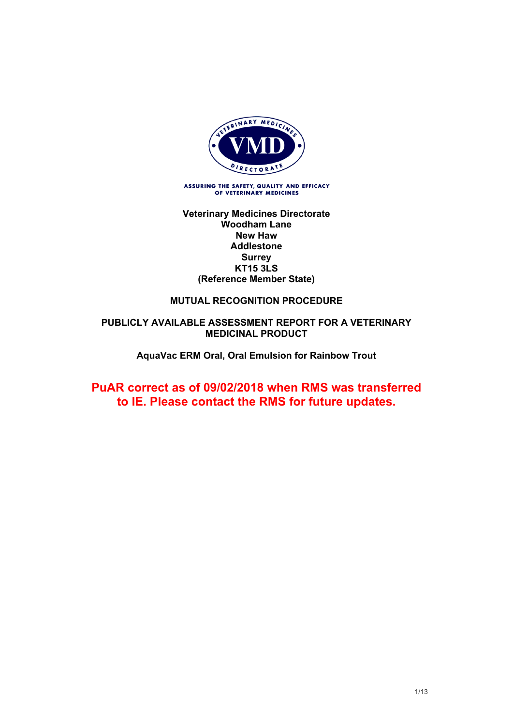

ASSURING THE SAFETY, QUALITY AND EFFICACY<br>OF VETERINARY MEDICINES

#### **Veterinary Medicines Directorate Woodham Lane New Haw Addlestone Surrey KT15 3LS (Reference Member State)**

### **MUTUAL RECOGNITION PROCEDURE**

#### **PUBLICLY AVAILABLE ASSESSMENT REPORT FOR A VETERINARY MEDICINAL PRODUCT**

#### **AquaVac ERM Oral, Oral Emulsion for Rainbow Trout**

# **PuAR correct as of 09/02/2018 when RMS was transferred to IE. Please contact the RMS for future updates.**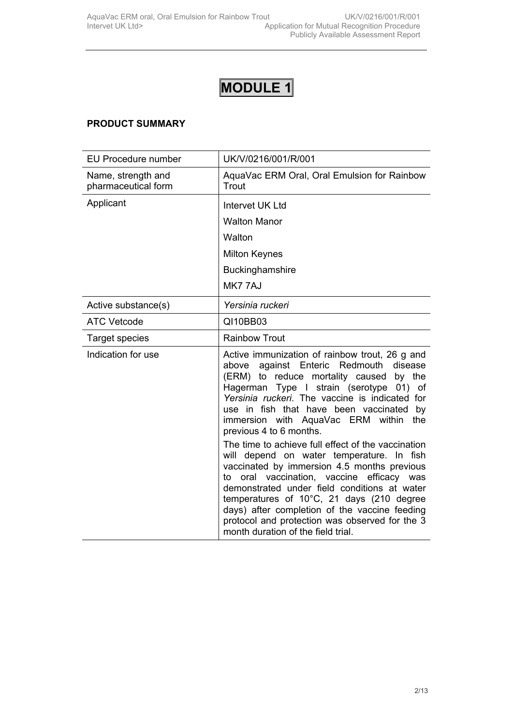# **PRODUCT SUMMARY**

| <b>EU Procedure number</b>                | UK/V/0216/001/R/001                                                                                                                                                                                                                                                                                                                                                                                                                  |
|-------------------------------------------|--------------------------------------------------------------------------------------------------------------------------------------------------------------------------------------------------------------------------------------------------------------------------------------------------------------------------------------------------------------------------------------------------------------------------------------|
| Name, strength and<br>pharmaceutical form | AquaVac ERM Oral, Oral Emulsion for Rainbow<br>Trout                                                                                                                                                                                                                                                                                                                                                                                 |
| Applicant                                 | Intervet UK Ltd                                                                                                                                                                                                                                                                                                                                                                                                                      |
|                                           | <b>Walton Manor</b>                                                                                                                                                                                                                                                                                                                                                                                                                  |
|                                           | Walton                                                                                                                                                                                                                                                                                                                                                                                                                               |
|                                           | <b>Milton Keynes</b>                                                                                                                                                                                                                                                                                                                                                                                                                 |
|                                           | Buckinghamshire                                                                                                                                                                                                                                                                                                                                                                                                                      |
|                                           | MK777AJ                                                                                                                                                                                                                                                                                                                                                                                                                              |
| Active substance(s)                       | Yersinia ruckeri                                                                                                                                                                                                                                                                                                                                                                                                                     |
| <b>ATC Vetcode</b>                        | QI10BB03                                                                                                                                                                                                                                                                                                                                                                                                                             |
| Target species                            | <b>Rainbow Trout</b>                                                                                                                                                                                                                                                                                                                                                                                                                 |
| Indication for use                        | Active immunization of rainbow trout, 26 g and<br>against Enteric Redmouth disease<br>above<br>(ERM) to reduce mortality caused<br>by the<br>Hagerman Type I strain (serotype 01) of<br>Yersinia ruckeri. The vaccine is indicated for<br>use in fish that have been vaccinated by<br>immersion with AquaVac ERM within<br>the<br>previous 4 to 6 months.                                                                            |
|                                           | The time to achieve full effect of the vaccination<br>will depend on water temperature. In fish<br>vaccinated by immersion 4.5 months previous<br>oral vaccination, vaccine efficacy was<br>to<br>demonstrated under field conditions at water<br>temperatures of 10°C, 21 days (210 degree<br>days) after completion of the vaccine feeding<br>protocol and protection was observed for the 3<br>month duration of the field trial. |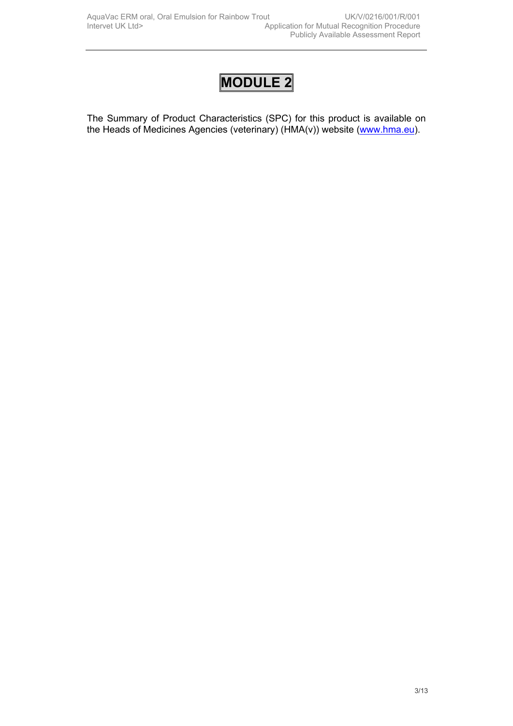The Summary of Product Characteristics (SPC) for this product is available on the Heads of Medicines Agencies (veterinary) (HMA(v)) website ([www.hma.eu](http://www.hma.eu/)).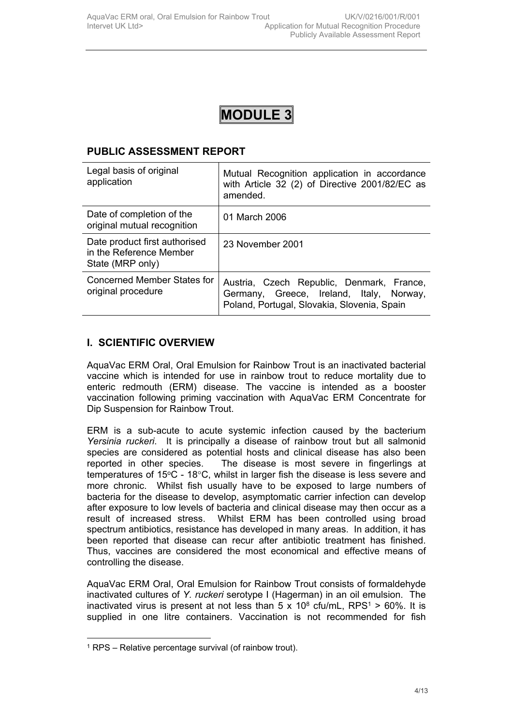# **PUBLIC ASSESSMENT REPORT**

| Legal basis of original<br>application                                       | Mutual Recognition application in accordance<br>with Article 32 (2) of Directive 2001/82/EC as<br>amended.                           |
|------------------------------------------------------------------------------|--------------------------------------------------------------------------------------------------------------------------------------|
| Date of completion of the<br>original mutual recognition                     | 01 March 2006                                                                                                                        |
| Date product first authorised<br>in the Reference Member<br>State (MRP only) | 23 November 2001                                                                                                                     |
| Concerned Member States for<br>original procedure                            | Austria, Czech Republic, Denmark, France,<br>Germany, Greece, Ireland, Italy, Norway,<br>Poland, Portugal, Slovakia, Slovenia, Spain |

# **I. SCIENTIFIC OVERVIEW**

AquaVac ERM Oral, Oral Emulsion for Rainbow Trout is an inactivated bacterial vaccine which is intended for use in rainbow trout to reduce mortality due to enteric redmouth (ERM) disease. The vaccine is intended as a booster vaccination following priming vaccination with AquaVac ERM Concentrate for Dip Suspension for Rainbow Trout.

ERM is a sub-acute to acute systemic infection caused by the bacterium *Yersinia ruckeri*. It is principally a disease of rainbow trout but all salmonid species are considered as potential hosts and clinical disease has also been reported in other species. The disease is most severe in fingerlings at temperatures of 15°C - 18°C, whilst in larger fish the disease is less severe and more chronic. Whilst fish usually have to be exposed to large numbers of bacteria for the disease to develop, asymptomatic carrier infection can develop after exposure to low levels of bacteria and clinical disease may then occur as a result of increased stress. Whilst ERM has been controlled using broad spectrum antibiotics, resistance has developed in many areas. In addition, it has been reported that disease can recur after antibiotic treatment has finished. Thus, vaccines are considered the most economical and effective means of controlling the disease.

AquaVac ERM Oral, Oral Emulsion for Rainbow Trout consists of formaldehyde inactivated cultures of *Y. ruckeri* serotype I (Hagerman) in an oil emulsion. The inactivated virus is present at not less than  $5 \times 10^8$  cfu/mL, RPS<sup>1</sup> > 60%. It is supplied in one litre containers. Vaccination is not recommended for fish

<sup>1</sup> RPS – Relative percentage survival (of rainbow trout).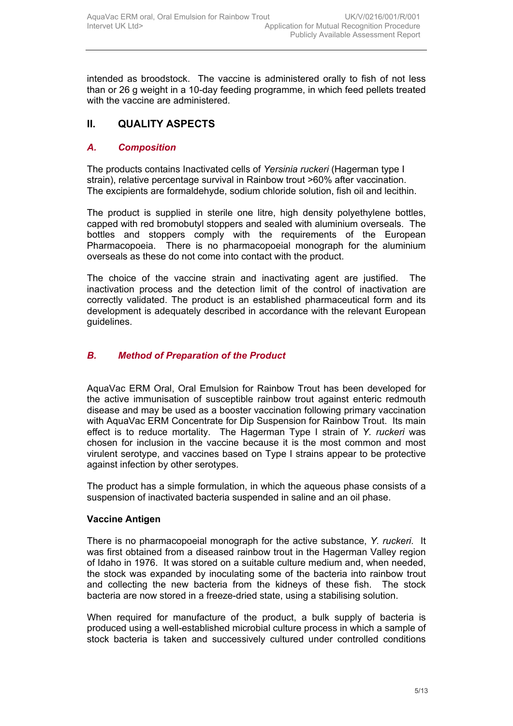intended as broodstock. The vaccine is administered orally to fish of not less than or 26 g weight in a 10-day feeding programme, in which feed pellets treated with the vaccine are administered.

# **II. QUALITY ASPECTS**

## *A. Composition*

The products contains Inactivated cells of *Yersinia ruckeri* (Hagerman type I strain), relative percentage survival in Rainbow trout >60% after vaccination. The excipients are formaldehyde, sodium chloride solution, fish oil and lecithin.

The product is supplied in sterile one litre, high density polyethylene bottles, capped with red bromobutyl stoppers and sealed with aluminium overseals. The bottles and stoppers comply with the requirements of the European Pharmacopoeia. There is no pharmacopoeial monograph for the aluminium overseals as these do not come into contact with the product.

The choice of the vaccine strain and inactivating agent are justified. The inactivation process and the detection limit of the control of inactivation are correctly validated. The product is an established pharmaceutical form and its development is adequately described in accordance with the relevant European guidelines.

#### *B. Method of Preparation of the Product*

AquaVac ERM Oral, Oral Emulsion for Rainbow Trout has been developed for the active immunisation of susceptible rainbow trout against enteric redmouth disease and may be used as a booster vaccination following primary vaccination with AquaVac ERM Concentrate for Dip Suspension for Rainbow Trout. Its main effect is to reduce mortality. The Hagerman Type I strain of *Y. ruckeri* was chosen for inclusion in the vaccine because it is the most common and most virulent serotype, and vaccines based on Type I strains appear to be protective against infection by other serotypes.

The product has a simple formulation, in which the aqueous phase consists of a suspension of inactivated bacteria suspended in saline and an oil phase.

#### **Vaccine Antigen**

There is no pharmacopoeial monograph for the active substance, *Y. ruckeri*. It was first obtained from a diseased rainbow trout in the Hagerman Valley region of Idaho in 1976. It was stored on a suitable culture medium and, when needed, the stock was expanded by inoculating some of the bacteria into rainbow trout and collecting the new bacteria from the kidneys of these fish. The stock bacteria are now stored in a freeze-dried state, using a stabilising solution.

When required for manufacture of the product, a bulk supply of bacteria is produced using a well-established microbial culture process in which a sample of stock bacteria is taken and successively cultured under controlled conditions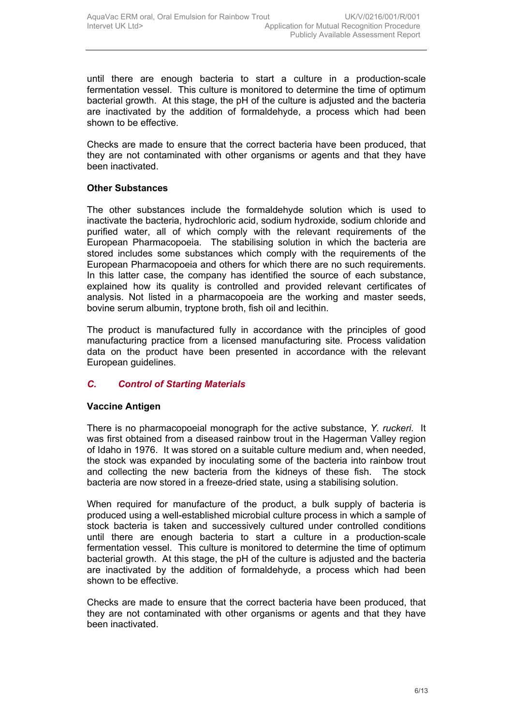until there are enough bacteria to start a culture in a production-scale fermentation vessel. This culture is monitored to determine the time of optimum bacterial growth. At this stage, the pH of the culture is adjusted and the bacteria are inactivated by the addition of formaldehyde, a process which had been shown to be effective.

Checks are made to ensure that the correct bacteria have been produced, that they are not contaminated with other organisms or agents and that they have been inactivated.

#### **Other Substances**

The other substances include the formaldehyde solution which is used to inactivate the bacteria, hydrochloric acid, sodium hydroxide, sodium chloride and purified water, all of which comply with the relevant requirements of the European Pharmacopoeia. The stabilising solution in which the bacteria are stored includes some substances which comply with the requirements of the European Pharmacopoeia and others for which there are no such requirements. In this latter case, the company has identified the source of each substance, explained how its quality is controlled and provided relevant certificates of analysis. Not listed in a pharmacopoeia are the working and master seeds, bovine serum albumin, tryptone broth, fish oil and lecithin.

The product is manufactured fully in accordance with the principles of good manufacturing practice from a licensed manufacturing site*.* Process validation data on the product have been presented in accordance with the relevant European guidelines.

## *C. Control of Starting Materials*

## **Vaccine Antigen**

There is no pharmacopoeial monograph for the active substance, *Y. ruckeri*. It was first obtained from a diseased rainbow trout in the Hagerman Valley region of Idaho in 1976. It was stored on a suitable culture medium and, when needed, the stock was expanded by inoculating some of the bacteria into rainbow trout and collecting the new bacteria from the kidneys of these fish. The stock bacteria are now stored in a freeze-dried state, using a stabilising solution.

When required for manufacture of the product, a bulk supply of bacteria is produced using a well-established microbial culture process in which a sample of stock bacteria is taken and successively cultured under controlled conditions until there are enough bacteria to start a culture in a production-scale fermentation vessel. This culture is monitored to determine the time of optimum bacterial growth. At this stage, the pH of the culture is adjusted and the bacteria are inactivated by the addition of formaldehyde, a process which had been shown to be effective.

Checks are made to ensure that the correct bacteria have been produced, that they are not contaminated with other organisms or agents and that they have been inactivated.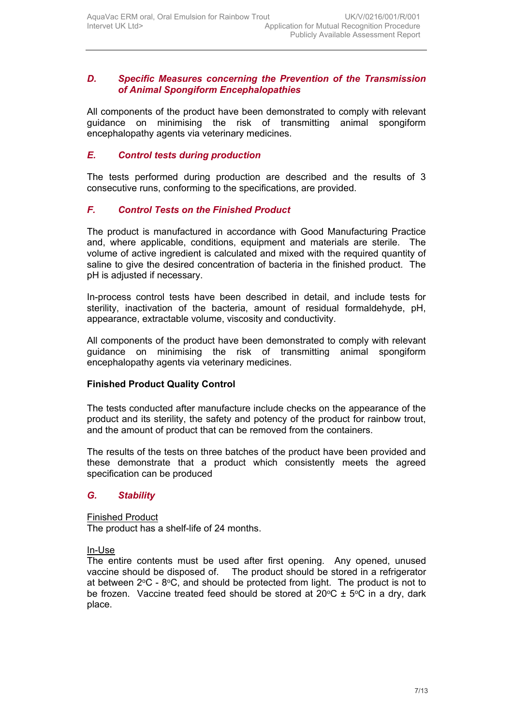#### *D. Specific Measures concerning the Prevention of the Transmission of Animal Spongiform Encephalopathies*

All components of the product have been demonstrated to comply with relevant guidance on minimising the risk of transmitting animal spongiform encephalopathy agents via veterinary medicines.

#### *E. Control tests during production*

The tests performed during production are described and the results of 3 consecutive runs, conforming to the specifications, are provided.

## *F. Control Tests on the Finished Product*

The product is manufactured in accordance with Good Manufacturing Practice and, where applicable, conditions, equipment and materials are sterile. The volume of active ingredient is calculated and mixed with the required quantity of saline to give the desired concentration of bacteria in the finished product. The pH is adjusted if necessary.

In-process control tests have been described in detail, and include tests for sterility, inactivation of the bacteria, amount of residual formaldehyde, pH, appearance, extractable volume, viscosity and conductivity.

All components of the product have been demonstrated to comply with relevant guidance on minimising the risk of transmitting animal spongiform encephalopathy agents via veterinary medicines.

#### **Finished Product Quality Control**

The tests conducted after manufacture include checks on the appearance of the product and its sterility, the safety and potency of the product for rainbow trout, and the amount of product that can be removed from the containers.

The results of the tests on three batches of the product have been provided and these demonstrate that a product which consistently meets the agreed specification can be produced

#### *G. Stability*

Finished Product

The product has a shelf-life of 24 months.

In-Use

The entire contents must be used after first opening. Any opened, unused vaccine should be disposed of. The product should be stored in a refrigerator at between  $2^{\circ}$ C -  $8^{\circ}$ C, and should be protected from light. The product is not to be frozen. Vaccine treated feed should be stored at  $20^{\circ}$ C  $\pm$  5°C in a drv, dark place.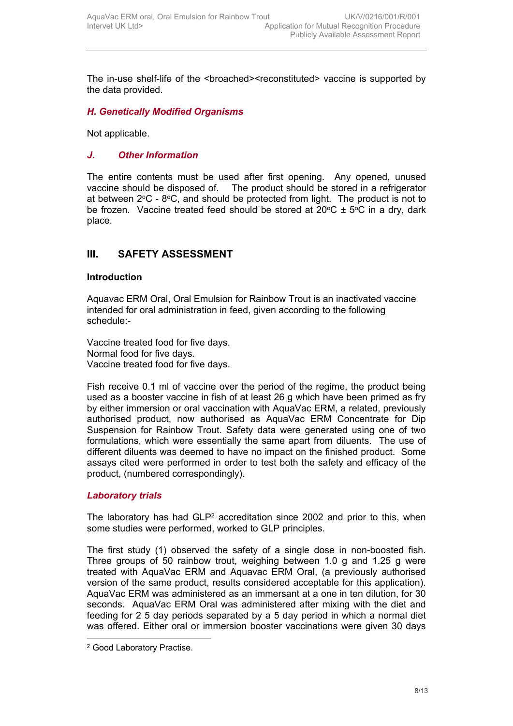The in-use shelf-life of the <br />broached><reconstituted> vaccine is supported by the data provided.

### *H. Genetically Modified Organisms*

Not applicable.

#### *J. Other Information*

The entire contents must be used after first opening. Any opened, unused vaccine should be disposed of. The product should be stored in a refrigerator at between  $2^{\circ}$ C -  $8^{\circ}$ C, and should be protected from light. The product is not to be frozen. Vaccine treated feed should be stored at  $20^{\circ}C \pm 5^{\circ}C$  in a dry, dark place.

## **III. SAFETY ASSESSMENT**

#### **Introduction**

Aquavac ERM Oral, Oral Emulsion for Rainbow Trout is an inactivated vaccine intended for oral administration in feed, given according to the following schedule:-

Vaccine treated food for five days. Normal food for five days. Vaccine treated food for five days.

Fish receive 0.1 ml of vaccine over the period of the regime, the product being used as a booster vaccine in fish of at least 26 g which have been primed as fry by either immersion or oral vaccination with AquaVac ERM, a related, previously authorised product, now authorised as AquaVac ERM Concentrate for Dip Suspension for Rainbow Trout. Safety data were generated using one of two formulations, which were essentially the same apart from diluents. The use of different diluents was deemed to have no impact on the finished product. Some assays cited were performed in order to test both the safety and efficacy of the product, (numbered correspondingly).

#### *Laboratory trials*

The laboratory has had  $GLP<sup>2</sup>$  accreditation since 2002 and prior to this, when some studies were performed, worked to GLP principles.

The first study (1) observed the safety of a single dose in non-boosted fish. Three groups of 50 rainbow trout, weighing between 1.0 g and 1.25 g were treated with AquaVac ERM and Aquavac ERM Oral, (a previously authorised version of the same product, results considered acceptable for this application). AquaVac ERM was administered as an immersant at a one in ten dilution, for 30 seconds. AquaVac ERM Oral was administered after mixing with the diet and feeding for 2 5 day periods separated by a 5 day period in which a normal diet was offered. Either oral or immersion booster vaccinations were given 30 days

<sup>2</sup> Good Laboratory Practise.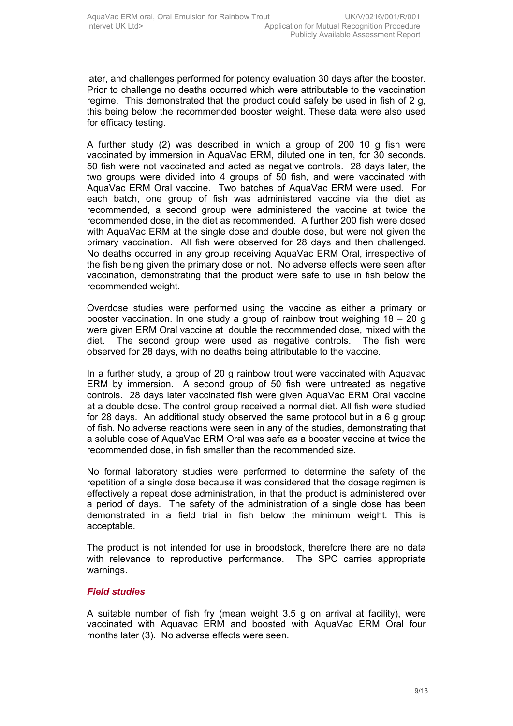later, and challenges performed for potency evaluation 30 days after the booster. Prior to challenge no deaths occurred which were attributable to the vaccination regime. This demonstrated that the product could safely be used in fish of 2 g, this being below the recommended booster weight. These data were also used for efficacy testing.

A further study (2) was described in which a group of 200 10 g fish were vaccinated by immersion in AquaVac ERM, diluted one in ten, for 30 seconds. 50 fish were not vaccinated and acted as negative controls. 28 days later, the two groups were divided into 4 groups of 50 fish, and were vaccinated with AquaVac ERM Oral vaccine. Two batches of AquaVac ERM were used. For each batch, one group of fish was administered vaccine via the diet as recommended, a second group were administered the vaccine at twice the recommended dose, in the diet as recommended. A further 200 fish were dosed with AquaVac ERM at the single dose and double dose, but were not given the primary vaccination. All fish were observed for 28 days and then challenged. No deaths occurred in any group receiving AquaVac ERM Oral, irrespective of the fish being given the primary dose or not. No adverse effects were seen after vaccination, demonstrating that the product were safe to use in fish below the recommended weight.

Overdose studies were performed using the vaccine as either a primary or booster vaccination. In one study a group of rainbow trout weighing  $18 - 20$  g were given ERM Oral vaccine at double the recommended dose, mixed with the diet. The second group were used as negative controls. The fish were observed for 28 days, with no deaths being attributable to the vaccine.

In a further study, a group of 20 g rainbow trout were vaccinated with Aquavac ERM by immersion. A second group of 50 fish were untreated as negative controls. 28 days later vaccinated fish were given AquaVac ERM Oral vaccine at a double dose. The control group received a normal diet. All fish were studied for 28 days. An additional study observed the same protocol but in a 6 g group of fish. No adverse reactions were seen in any of the studies, demonstrating that a soluble dose of AquaVac ERM Oral was safe as a booster vaccine at twice the recommended dose, in fish smaller than the recommended size.

No formal laboratory studies were performed to determine the safety of the repetition of a single dose because it was considered that the dosage regimen is effectively a repeat dose administration, in that the product is administered over a period of days. The safety of the administration of a single dose has been demonstrated in a field trial in fish below the minimum weight. This is acceptable.

The product is not intended for use in broodstock, therefore there are no data with relevance to reproductive performance. The SPC carries appropriate warnings.

#### *Field studies*

A suitable number of fish fry (mean weight 3.5 g on arrival at facility), were vaccinated with Aquavac ERM and boosted with AquaVac ERM Oral four months later (3). No adverse effects were seen.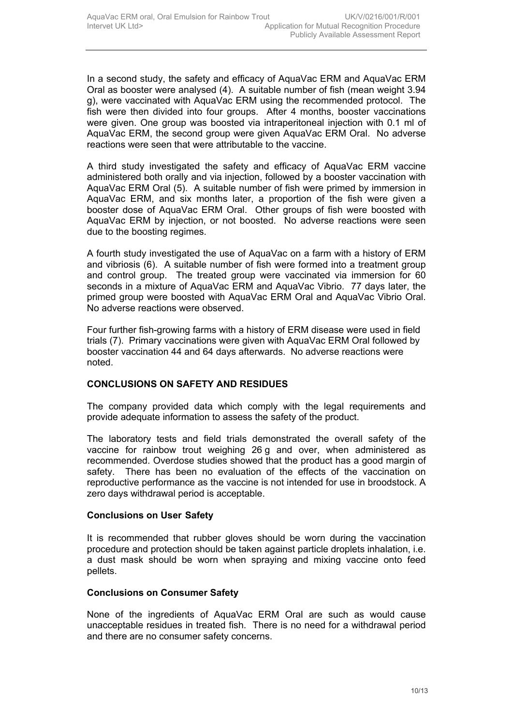In a second study, the safety and efficacy of AquaVac ERM and AquaVac ERM Oral as booster were analysed (4). A suitable number of fish (mean weight 3.94 g), were vaccinated with AquaVac ERM using the recommended protocol. The fish were then divided into four groups. After 4 months, booster vaccinations were given. One group was boosted via intraperitoneal injection with 0.1 ml of AquaVac ERM, the second group were given AquaVac ERM Oral. No adverse reactions were seen that were attributable to the vaccine.

A third study investigated the safety and efficacy of AquaVac ERM vaccine administered both orally and via injection, followed by a booster vaccination with AquaVac ERM Oral (5). A suitable number of fish were primed by immersion in AquaVac ERM, and six months later, a proportion of the fish were given a booster dose of AquaVac ERM Oral. Other groups of fish were boosted with AquaVac ERM by injection, or not boosted. No adverse reactions were seen due to the boosting regimes.

A fourth study investigated the use of AquaVac on a farm with a history of ERM and vibriosis (6). A suitable number of fish were formed into a treatment group and control group. The treated group were vaccinated via immersion for 60 seconds in a mixture of AquaVac ERM and AquaVac Vibrio. 77 days later, the primed group were boosted with AquaVac ERM Oral and AquaVac Vibrio Oral. No adverse reactions were observed.

Four further fish-growing farms with a history of ERM disease were used in field trials (7). Primary vaccinations were given with AquaVac ERM Oral followed by booster vaccination 44 and 64 days afterwards. No adverse reactions were noted.

## **CONCLUSIONS ON SAFETY AND RESIDUES**

The company provided data which comply with the legal requirements and provide adequate information to assess the safety of the product.

The laboratory tests and field trials demonstrated the overall safety of the vaccine for rainbow trout weighing 26 g and over, when administered as recommended. Overdose studies showed that the product has a good margin of safety. There has been no evaluation of the effects of the vaccination on reproductive performance as the vaccine is not intended for use in broodstock. A zero days withdrawal period is acceptable.

#### **Conclusions on User Safety**

It is recommended that rubber gloves should be worn during the vaccination procedure and protection should be taken against particle droplets inhalation, i.e. a dust mask should be worn when spraying and mixing vaccine onto feed pellets.

#### **Conclusions on Consumer Safety**

None of the ingredients of AquaVac ERM Oral are such as would cause unacceptable residues in treated fish. There is no need for a withdrawal period and there are no consumer safety concerns.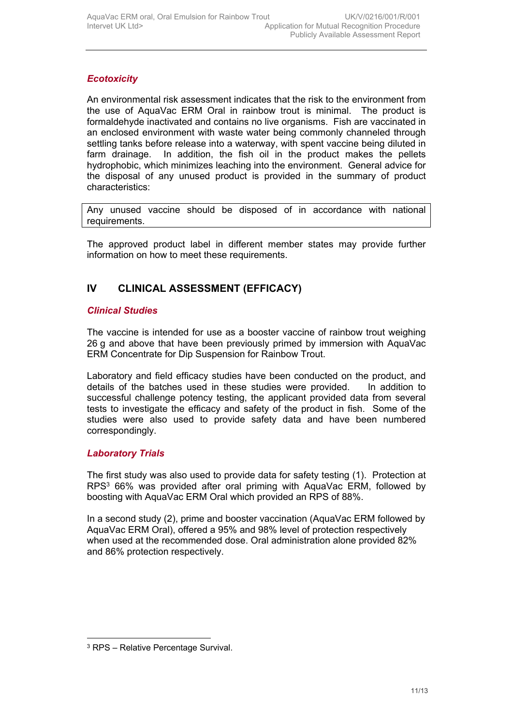# *Ecotoxicity*

An environmental risk assessment indicates that the risk to the environment from the use of AquaVac ERM Oral in rainbow trout is minimal. The product is formaldehyde inactivated and contains no live organisms. Fish are vaccinated in an enclosed environment with waste water being commonly channeled through settling tanks before release into a waterway, with spent vaccine being diluted in farm drainage. In addition, the fish oil in the product makes the pellets hydrophobic, which minimizes leaching into the environment. General advice for the disposal of any unused product is provided in the summary of product characteristics:

Any unused vaccine should be disposed of in accordance with national requirements.

The approved product label in different member states may provide further information on how to meet these requirements.

# **IV CLINICAL ASSESSMENT (EFFICACY)**

## *Clinical Studies*

The vaccine is intended for use as a booster vaccine of rainbow trout weighing 26 g and above that have been previously primed by immersion with AquaVac ERM Concentrate for Dip Suspension for Rainbow Trout.

Laboratory and field efficacy studies have been conducted on the product, and details of the batches used in these studies were provided. In addition to successful challenge potency testing, the applicant provided data from several tests to investigate the efficacy and safety of the product in fish. Some of the studies were also used to provide safety data and have been numbered correspondingly.

## *Laboratory Trials*

The first study was also used to provide data for safety testing (1). Protection at  $RPS<sup>3</sup>$  66% was provided after oral priming with AquaVac ERM, followed by boosting with AquaVac ERM Oral which provided an RPS of 88%.

In a second study (2), prime and booster vaccination (AquaVac ERM followed by AquaVac ERM Oral), offered a 95% and 98% level of protection respectively when used at the recommended dose. Oral administration alone provided 82% and 86% protection respectively.

<sup>3</sup> RPS – Relative Percentage Survival.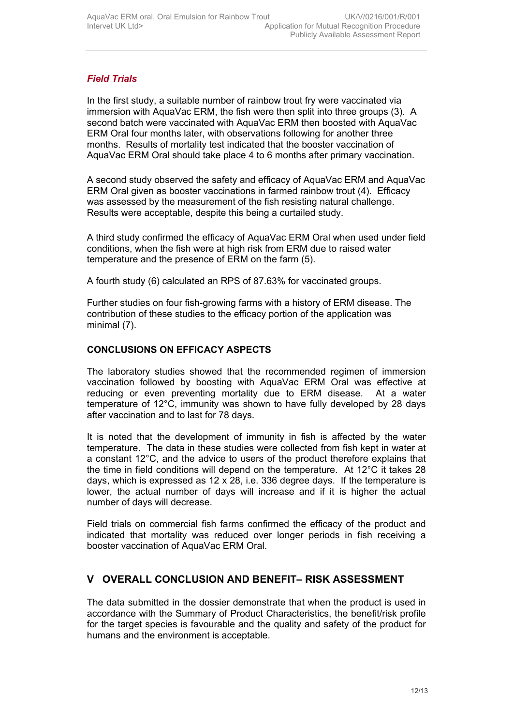# *Field Trials*

In the first study, a suitable number of rainbow trout fry were vaccinated via immersion with AquaVac ERM, the fish were then split into three groups (3). A second batch were vaccinated with AquaVac ERM then boosted with AquaVac ERM Oral four months later, with observations following for another three months. Results of mortality test indicated that the booster vaccination of AquaVac ERM Oral should take place 4 to 6 months after primary vaccination.

A second study observed the safety and efficacy of AquaVac ERM and AquaVac ERM Oral given as booster vaccinations in farmed rainbow trout (4). Efficacy was assessed by the measurement of the fish resisting natural challenge. Results were acceptable, despite this being a curtailed study.

A third study confirmed the efficacy of AquaVac ERM Oral when used under field conditions, when the fish were at high risk from ERM due to raised water temperature and the presence of ERM on the farm (5).

A fourth study (6) calculated an RPS of 87.63% for vaccinated groups.

Further studies on four fish-growing farms with a history of ERM disease. The contribution of these studies to the efficacy portion of the application was minimal (7).

## **CONCLUSIONS ON EFFICACY ASPECTS**

The laboratory studies showed that the recommended regimen of immersion vaccination followed by boosting with AquaVac ERM Oral was effective at reducing or even preventing mortality due to ERM disease. At a water temperature of 12°C, immunity was shown to have fully developed by 28 days after vaccination and to last for 78 days.

It is noted that the development of immunity in fish is affected by the water temperature. The data in these studies were collected from fish kept in water at a constant 12°C, and the advice to users of the product therefore explains that the time in field conditions will depend on the temperature. At 12°C it takes 28 days, which is expressed as 12 x 28, i.e. 336 degree days. If the temperature is lower, the actual number of days will increase and if it is higher the actual number of days will decrease.

Field trials on commercial fish farms confirmed the efficacy of the product and indicated that mortality was reduced over longer periods in fish receiving a booster vaccination of AquaVac ERM Oral.

# **V OVERALL CONCLUSION AND BENEFIT– RISK ASSESSMENT**

The data submitted in the dossier demonstrate that when the product is used in accordance with the Summary of Product Characteristics, the benefit/risk profile for the target species is favourable and the quality and safety of the product for humans and the environment is acceptable.